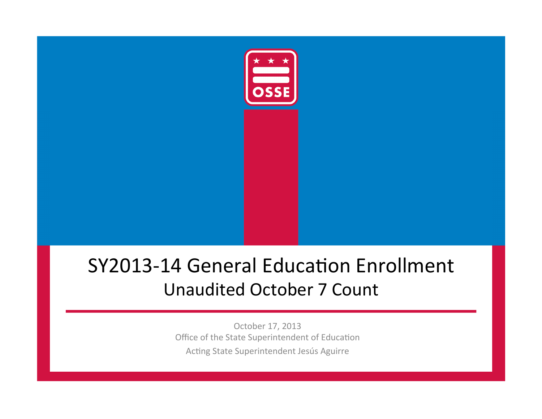

# SY2013-14 General Education Enrollment Unaudited October 7 Count

October 17, 2013 Office of the State Superintendent of Education Acting State Superintendent Jesús Aguirre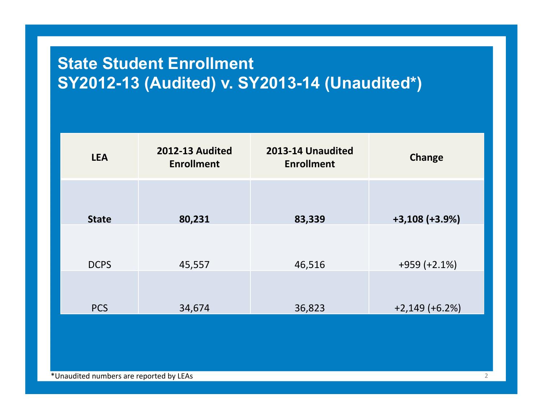# **State Student Enrollment SY2012-13 (Audited) v. SY2013-14 (Unaudited\*)**

| <b>LEA</b>   | <b>2012-13 Audited</b><br><b>Enrollment</b> | 2013-14 Unaudited<br><b>Enrollment</b> | <b>Change</b>    |
|--------------|---------------------------------------------|----------------------------------------|------------------|
| <b>State</b> | 80,231                                      | 83,339                                 | $+3,108 (+3.9%)$ |
| <b>DCPS</b>  | 45,557                                      | 46,516                                 | $+959 (+2.1%)$   |
| <b>PCS</b>   | 34,674                                      | 36,823                                 | $+2,149 (+6.2%)$ |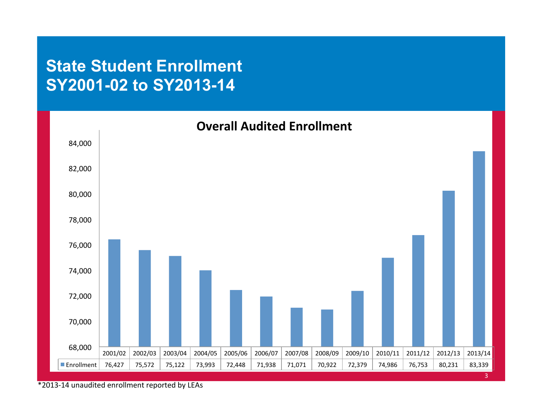#### **State Student Enrollment SY2001-02 to SY2013-14**



\*2013-14 unaudited enrollment reported by LEAs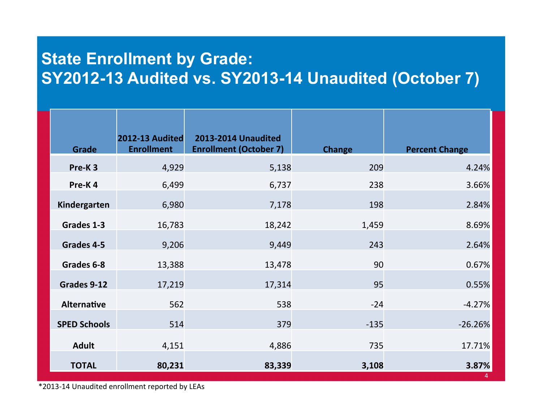## **State Enrollment by Grade: SY2012-13 Audited vs. SY2013-14 Unaudited (October 7)**

| <b>Grade</b>        | 2012-13 Audited<br><b>Enrollment</b> | <b>2013-2014 Unaudited</b><br><b>Enrollment (October 7)</b> | <b>Change</b> | <b>Percent Change</b> |
|---------------------|--------------------------------------|-------------------------------------------------------------|---------------|-----------------------|
| Pre-K <sub>3</sub>  | 4,929                                | 5,138                                                       | 209           | 4.24%                 |
| Pre-K4              | 6,499                                | 6,737                                                       | 238           | 3.66%                 |
| Kindergarten        | 6,980                                | 7,178                                                       | 198           | 2.84%                 |
| Grades 1-3          | 16,783                               | 18,242                                                      | 1,459         | 8.69%                 |
| Grades 4-5          | 9,206                                | 9,449                                                       | 243           | 2.64%                 |
| Grades 6-8          | 13,388                               | 13,478                                                      | 90            | 0.67%                 |
| Grades 9-12         | 17,219                               | 17,314                                                      | 95            | 0.55%                 |
| <b>Alternative</b>  | 562                                  | 538                                                         | $-24$         | $-4.27%$              |
| <b>SPED Schools</b> | 514                                  | 379                                                         | $-135$        | $-26.26%$             |
| <b>Adult</b>        | 4,151                                | 4,886                                                       | 735           | 17.71%                |
| <b>TOTAL</b>        | 80,231                               | 83,339                                                      | 3,108         | 3.87%                 |

\*2013-14 Unaudited enrollment reported by LEAs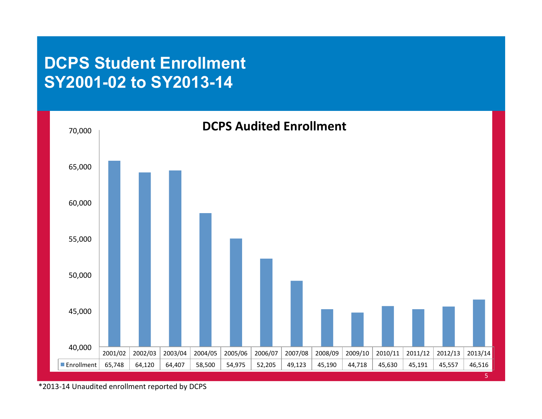#### **DCPS Student Enrollment SY2001-02 to SY2013-14**



\*2013-14 Unaudited enrollment reported by DCPS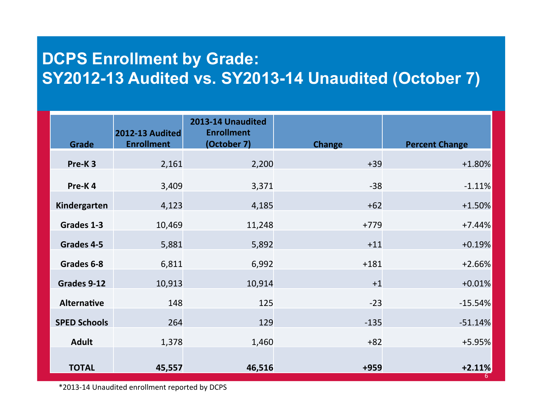## **DCPS Enrollment by Grade: SY2012-13 Audited vs. SY2013-14 Unaudited (October 7)**

| <b>Grade</b>        | <b>2012-13 Audited</b><br><b>Enrollment</b> | 2013-14 Unaudited<br><b>Enrollment</b><br>(October 7) | <b>Change</b> | <b>Percent Change</b> |
|---------------------|---------------------------------------------|-------------------------------------------------------|---------------|-----------------------|
|                     |                                             |                                                       |               |                       |
| Pre-K <sub>3</sub>  | 2,161                                       | 2,200                                                 | $+39$         | $+1.80%$              |
| Pre-K4              | 3,409                                       | 3,371                                                 | $-38$         | $-1.11%$              |
| Kindergarten        | 4,123                                       | 4,185                                                 | $+62$         | $+1.50%$              |
| Grades 1-3          | 10,469                                      | 11,248                                                | $+779$        | $+7.44%$              |
| Grades 4-5          | 5,881                                       | 5,892                                                 | $+11$         | $+0.19%$              |
| Grades 6-8          | 6,811                                       | 6,992                                                 | $+181$        | $+2.66%$              |
| Grades 9-12         | 10,913                                      | 10,914                                                | $+1$          | $+0.01%$              |
| <b>Alternative</b>  | 148                                         | 125                                                   | $-23$         | $-15.54%$             |
| <b>SPED Schools</b> | 264                                         | 129                                                   | $-135$        | $-51.14%$             |
| <b>Adult</b>        | 1,378                                       | 1,460                                                 | $+82$         | $+5.95%$              |
| <b>TOTAL</b>        | 45,557                                      | 46,516                                                | $+959$        | $+2.11%$<br>6         |

\*2013-14 Unaudited enrollment reported by DCPS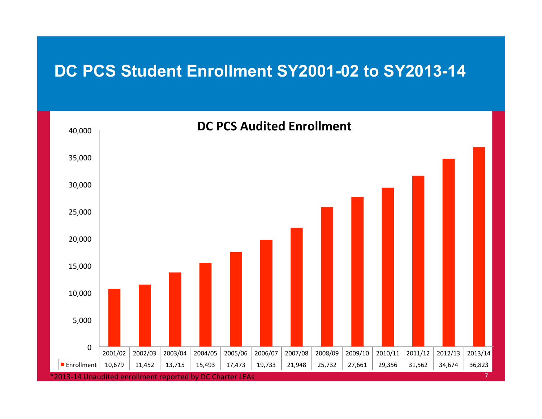#### **DC PCS Student Enrollment SY2001-02 to SY2013-14**

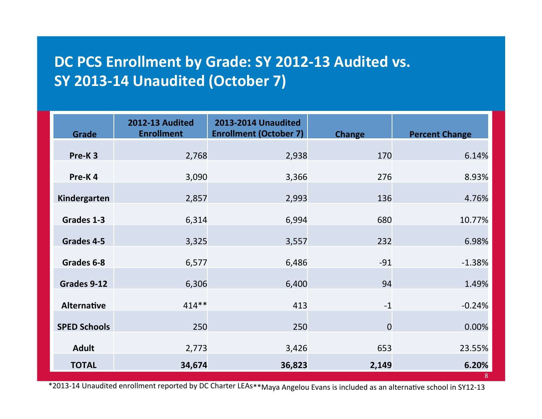#### DC PCS Enrollment by Grade: SY 2012-13 Audited vs. **SY 2013-14 Unaudited (October 7)**

| Grade               | <b>2012-13 Audited</b><br><b>Enrollment</b> | <b>2013-2014 Unaudited</b><br><b>Enrollment (October 7)</b> | <b>Change</b>  | <b>Percent Change</b> |
|---------------------|---------------------------------------------|-------------------------------------------------------------|----------------|-----------------------|
| Pre-K <sub>3</sub>  | 2,768                                       | 2,938                                                       | 170            | 6.14%                 |
| Pre-K4              | 3,090                                       | 3,366                                                       | 276            | 8.93%                 |
| Kindergarten        | 2,857                                       | 2,993                                                       | 136            | 4.76%                 |
| Grades 1-3          | 6,314                                       | 6,994                                                       | 680            | 10.77%                |
| Grades 4-5          | 3,325                                       | 3,557                                                       | 232            | 6.98%                 |
| Grades 6-8          | 6,577                                       | 6,486                                                       | $-91$          | $-1.38%$              |
| Grades 9-12         | 6,306                                       | 6,400                                                       | 94             | 1.49%                 |
|                     | $414**$                                     |                                                             |                |                       |
| <b>Alternative</b>  |                                             | 413                                                         | $-1$           | $-0.24%$              |
| <b>SPED Schools</b> | 250                                         | 250                                                         | $\overline{0}$ | 0.00%                 |
| <b>Adult</b>        | 2,773                                       | 3,426                                                       | 653            | 23.55%                |
| <b>TOTAL</b>        | 34,674                                      | 36,823                                                      | 2,149          | 6.20%<br>8            |

\*2013-14 Unaudited enrollment reported by DC Charter LEAs\*\*Maya Angelou Evans is included as an alternative school in SY12-13